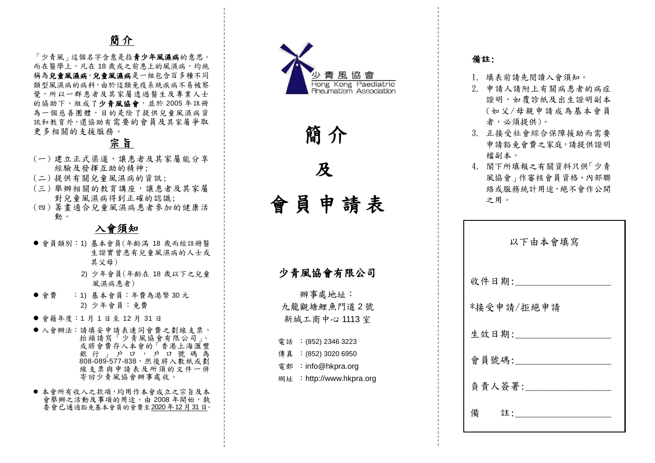# 簡介

「少青風」這個名字含意是指青少年風濕病的意思。 而在醫學上,凡在18歲或之前患上的風濕病,均統 稱為兒童風濕病是一組包含百多種不同 類型風濕病的病科,由於這類免疫系統疾病不易被察 覺,所以一群患者及其家屬透過醫生及專業人士 的協助下, 組成了少青風協會, 並於 2005年註冊 為一個慈善團體,目的是除了提供兒童風濕病資 訊和教育外,還協助有需要的會員及 其家屬爭取 更多相關的支援服務。

# 宗旨

- (一)建立正式渠道,讓患者及其家屬能分享 經驗及發揮互助的精神;
- ( 二 ) 提供有關兒童風濕病的資訊 ;
- (三) 舉辦相關的教育講座,讓患者及其家屬 對兒童風濕病得到正確的認識;
- ( 四 ) 籌畫適合兒童風濕病患者參加的健康活 動。

## 入會須知

- ●會員類別:1) 基本會員(年齡滿 18 歲而經註冊醫 生證實曾患有兒童風濕病的人士或 其父母 )
	- 2) 少年會員 (年齡在 18 歲以下之兒童 風濕病患者)
- 會費 :1) 基本會員:年費為港幣 30 元 2) 少年會員 :免費
- 會籍年度:1月1日至12月31日
- 入會辦法:請填妥申請表連同會費之劃線支票, 抬頭請寫「少青風協會有限公司」, 或將會費存入本會的「香港上海滙豐 銀行」戶口,戶口號碼為 808-089-577-838,然後將入數紙或劃 線支票與申請表及所須的文件一併 寄回少青風協會辦事處收。
- 本會所有收入之款項,均用作本會成立之宗旨及本 會舉辦之活動及事項的用途。由 2008年開始,執 委會已通過豁免基本會員的會費至2020年12月31日。



簡 介

及

會 員 申 請 表

# 少青風協會有限公司

辦事處地址: 九龍觀塘鯉魚門道 2 號 新城工商中心 1113 室

- 電話 : (852) 2346 3223
	- 傳真 : (852) 3020 6950
	- 電郵 : info@hkpra.org
	- 網 址 :http://www.hkpra.org

### 備註:

- 1. 填表前請先閱讀入會須知 。
- 2. 申請人請附上有關病患者的病症 證明,如覆診紙及出生證明副本 (如父/母親申請成為基本會員 者,必須提供)。
- 3. 正接受社會綜合保障援助而需要 申請豁免會費之家庭,請提供證明 檔副本。
- 4. 閣下所填報之有關資料只供「少青 風協會」作審核會員資格、內部聯 絡或服務統計用途,絕不會作公開 之用。

| 以下由本會填寫    |
|------------|
| 收件日期:      |
| *接受申請/拒絕申請 |
| 生效日期:      |
| 會員號碼:      |
| 負責人簽署:     |
| 備<br>註:    |